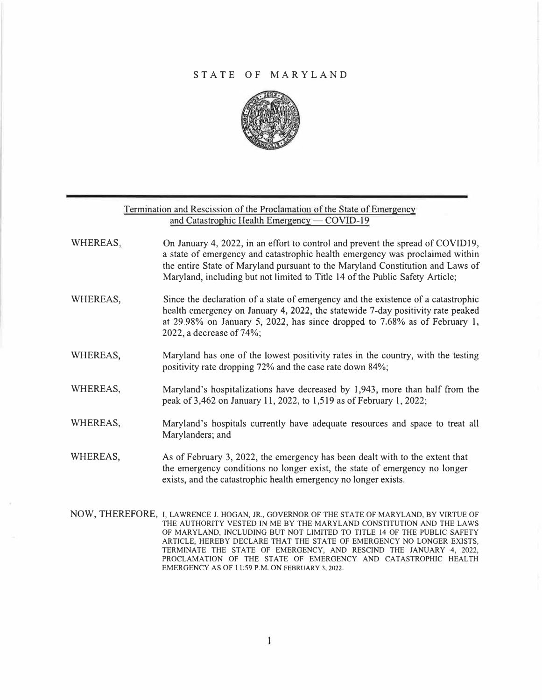## STATE OF MARYLAND



|          | Termination and Rescission of the Proclamation of the State of Emergency<br>and Catastrophic Health Emergency — COVID-19                                                                                                                                                                                                          |
|----------|-----------------------------------------------------------------------------------------------------------------------------------------------------------------------------------------------------------------------------------------------------------------------------------------------------------------------------------|
| WHEREAS, | On January 4, 2022, in an effort to control and prevent the spread of COVID19,<br>a state of emergency and catastrophic health emergency was proclaimed within<br>the entire State of Maryland pursuant to the Maryland Constitution and Laws of<br>Maryland, including but not limited to Title 14 of the Public Safety Article; |
| WHEREAS, | Since the declaration of a state of emergency and the existence of a catastrophic<br>health emergency on January 4, 2022, the statewide 7-day positivity rate peaked<br>at $29.98\%$ on January 5, 2022, has since dropped to 7.68% as of February 1,<br>2022, a decrease of 74%;                                                 |
| WHEREAS, | Maryland has one of the lowest positivity rates in the country, with the testing<br>positivity rate dropping 72% and the case rate down 84%;                                                                                                                                                                                      |
| WHEREAS, | Maryland's hospitalizations have decreased by 1,943, more than half from the<br>peak of 3,462 on January 11, 2022, to 1,519 as of February 1, 2022;                                                                                                                                                                               |
| WHEREAS, | Maryland's hospitals currently have adequate resources and space to treat all<br>Marylanders; and                                                                                                                                                                                                                                 |
| WHEREAS, | As of February 3, 2022, the emergency has been dealt with to the extent that<br>the emergency conditions no longer exist, the state of emergency no longer<br>exists, and the catastrophic health emergency no longer exists.                                                                                                     |
|          | NOW THEREFORE I LAWRENCE LHOGAN IR GOVERNOR OF THE STATE OF MARYLAND BY VIRTUE OF                                                                                                                                                                                                                                                 |

NOW, IHEREFURE, THE AUTHORITY VESTED IN ME BY THE MARYLAND CONSTITUTION AND THE LAWS OF MARYLAND, INCLUDING BUT NOT LIMITED TO TITLE 14 OF THE PUBLIC SAFETY ARTICLE, HEREBY DECLARE THAT THE STATE OF EMERGENCY NO LONGER EXISTS, TERMINATE THE STATE OF EMERGENCY, AND RESCIND THE JANUARY 4, 2022, PROCLAMATION OF THE STATE OF EMERGENCY AND CATASTROPHIC HEALTH EMERGENCY AS OF 11:59 P.M. ON FEBRUARY 3, 2022.